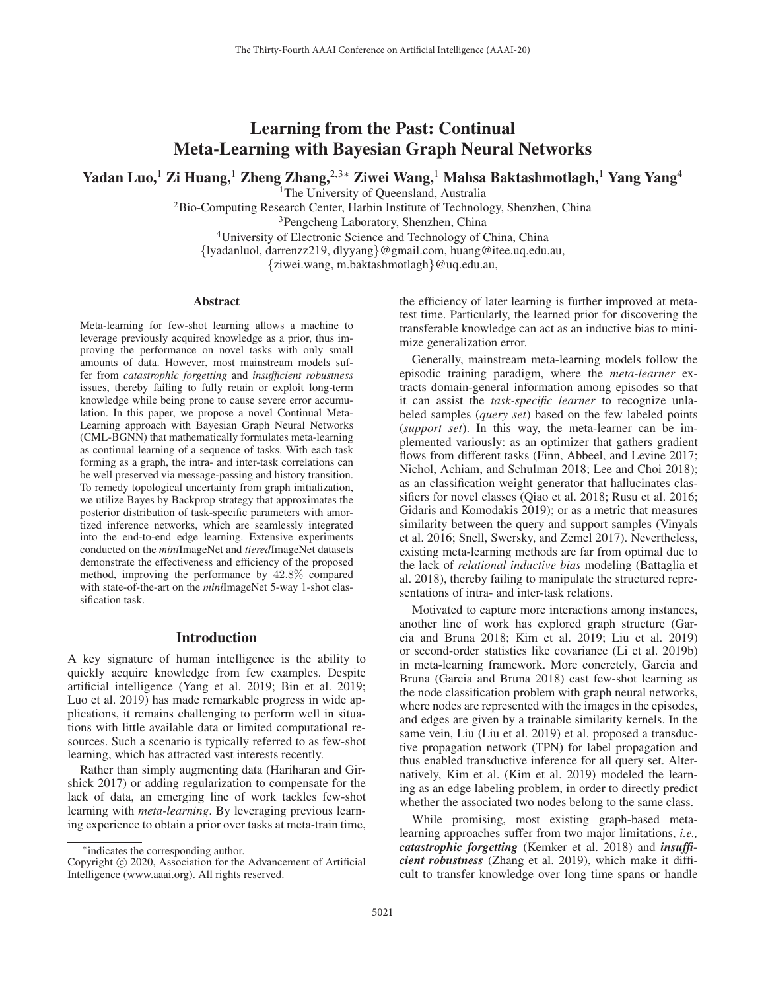# Learning from the Past: Continual Meta-Learning with Bayesian Graph Neural Networks

Yadan Luo,<sup>1</sup> Zi Huang,<sup>1</sup> Zheng Zhang,<sup>2,3∗</sup> Ziwei Wang,<sup>1</sup> Mahsa Baktashmotlagh,<sup>1</sup> Yang Yang<sup>4</sup>

<sup>1</sup>The University of Queensland, Australia

2Bio-Computing Research Center, Harbin Institute of Technology, Shenzhen, China

3Pengcheng Laboratory, Shenzhen, China

4University of Electronic Science and Technology of China, China

{lyadanluol, darrenzz219, dlyyang}@gmail.com, huang@itee.uq.edu.au,

{ziwei.wang, m.baktashmotlagh}@uq.edu.au,

#### Abstract

Meta-learning for few-shot learning allows a machine to leverage previously acquired knowledge as a prior, thus improving the performance on novel tasks with only small amounts of data. However, most mainstream models suffer from *catastrophic forgetting* and *insufficient robustness* issues, thereby failing to fully retain or exploit long-term knowledge while being prone to cause severe error accumulation. In this paper, we propose a novel Continual Meta-Learning approach with Bayesian Graph Neural Networks (CML-BGNN) that mathematically formulates meta-learning as continual learning of a sequence of tasks. With each task forming as a graph, the intra- and inter-task correlations can be well preserved via message-passing and history transition. To remedy topological uncertainty from graph initialization, we utilize Bayes by Backprop strategy that approximates the posterior distribution of task-specific parameters with amortized inference networks, which are seamlessly integrated into the end-to-end edge learning. Extensive experiments conducted on the *mini*ImageNet and *tiered*ImageNet datasets demonstrate the effectiveness and efficiency of the proposed method, improving the performance by 42.8% compared with state-of-the-art on the *mini*ImageNet 5-way 1-shot classification task.

## Introduction

A key signature of human intelligence is the ability to quickly acquire knowledge from few examples. Despite artificial intelligence (Yang et al. 2019; Bin et al. 2019; Luo et al. 2019) has made remarkable progress in wide applications, it remains challenging to perform well in situations with little available data or limited computational resources. Such a scenario is typically referred to as few-shot learning, which has attracted vast interests recently.

Rather than simply augmenting data (Hariharan and Girshick 2017) or adding regularization to compensate for the lack of data, an emerging line of work tackles few-shot learning with *meta-learning*. By leveraging previous learning experience to obtain a prior over tasks at meta-train time,

the efficiency of later learning is further improved at metatest time. Particularly, the learned prior for discovering the transferable knowledge can act as an inductive bias to minimize generalization error.

Generally, mainstream meta-learning models follow the episodic training paradigm, where the *meta-learner* extracts domain-general information among episodes so that it can assist the *task-specific learner* to recognize unlabeled samples (*query set*) based on the few labeled points (*support set*). In this way, the meta-learner can be implemented variously: as an optimizer that gathers gradient flows from different tasks (Finn, Abbeel, and Levine 2017; Nichol, Achiam, and Schulman 2018; Lee and Choi 2018); as an classification weight generator that hallucinates classifiers for novel classes (Qiao et al. 2018; Rusu et al. 2016; Gidaris and Komodakis 2019); or as a metric that measures similarity between the query and support samples (Vinyals et al. 2016; Snell, Swersky, and Zemel 2017). Nevertheless, existing meta-learning methods are far from optimal due to the lack of *relational inductive bias* modeling (Battaglia et al. 2018), thereby failing to manipulate the structured representations of intra- and inter-task relations.

Motivated to capture more interactions among instances, another line of work has explored graph structure (Garcia and Bruna 2018; Kim et al. 2019; Liu et al. 2019) or second-order statistics like covariance (Li et al. 2019b) in meta-learning framework. More concretely, Garcia and Bruna (Garcia and Bruna 2018) cast few-shot learning as the node classification problem with graph neural networks, where nodes are represented with the images in the episodes, and edges are given by a trainable similarity kernels. In the same vein, Liu (Liu et al. 2019) et al. proposed a transductive propagation network (TPN) for label propagation and thus enabled transductive inference for all query set. Alternatively, Kim et al. (Kim et al. 2019) modeled the learning as an edge labeling problem, in order to directly predict whether the associated two nodes belong to the same class.

While promising, most existing graph-based metalearning approaches suffer from two major limitations, *i.e., catastrophic forgetting* (Kemker et al. 2018) and *insufficient robustness* (Zhang et al. 2019), which make it difficult to transfer knowledge over long time spans or handle

<sup>∗</sup>indicates the corresponding author.

Copyright  $\odot$  2020, Association for the Advancement of Artificial Intelligence (www.aaai.org). All rights reserved.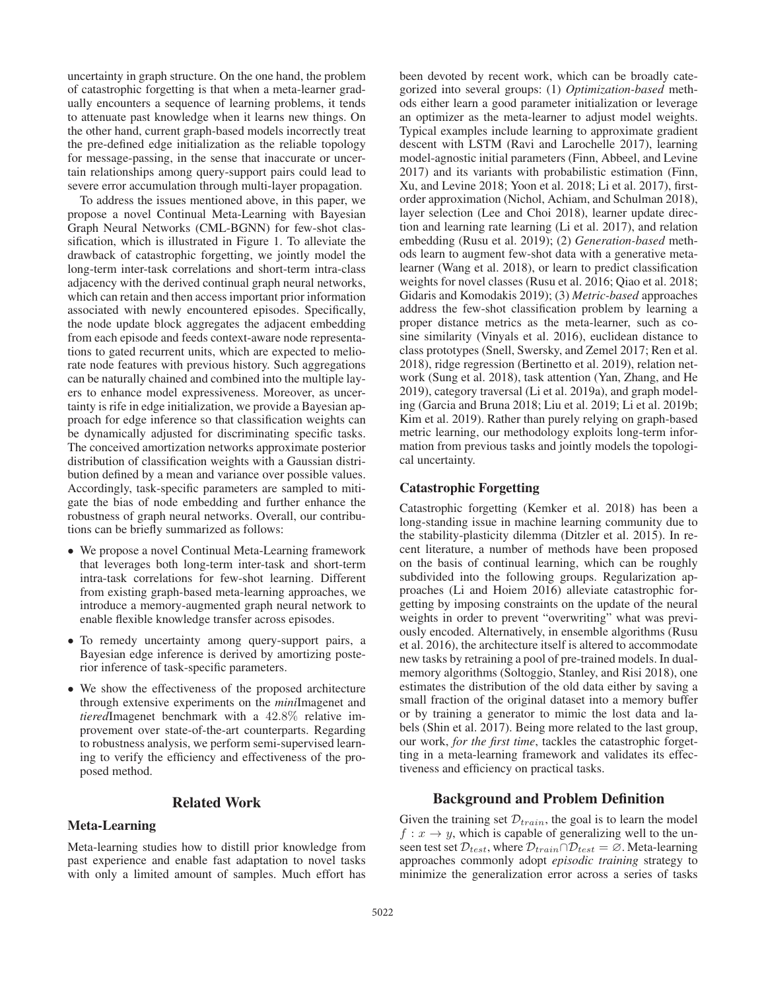uncertainty in graph structure. On the one hand, the problem of catastrophic forgetting is that when a meta-learner gradually encounters a sequence of learning problems, it tends to attenuate past knowledge when it learns new things. On the other hand, current graph-based models incorrectly treat the pre-defined edge initialization as the reliable topology for message-passing, in the sense that inaccurate or uncertain relationships among query-support pairs could lead to severe error accumulation through multi-layer propagation.

To address the issues mentioned above, in this paper, we propose a novel Continual Meta-Learning with Bayesian Graph Neural Networks (CML-BGNN) for few-shot classification, which is illustrated in Figure 1. To alleviate the drawback of catastrophic forgetting, we jointly model the long-term inter-task correlations and short-term intra-class adjacency with the derived continual graph neural networks, which can retain and then access important prior information associated with newly encountered episodes. Specifically, the node update block aggregates the adjacent embedding from each episode and feeds context-aware node representations to gated recurrent units, which are expected to meliorate node features with previous history. Such aggregations can be naturally chained and combined into the multiple layers to enhance model expressiveness. Moreover, as uncertainty is rife in edge initialization, we provide a Bayesian approach for edge inference so that classification weights can be dynamically adjusted for discriminating specific tasks. The conceived amortization networks approximate posterior distribution of classification weights with a Gaussian distribution defined by a mean and variance over possible values. Accordingly, task-specific parameters are sampled to mitigate the bias of node embedding and further enhance the robustness of graph neural networks. Overall, our contributions can be briefly summarized as follows:

- We propose a novel Continual Meta-Learning framework that leverages both long-term inter-task and short-term intra-task correlations for few-shot learning. Different from existing graph-based meta-learning approaches, we introduce a memory-augmented graph neural network to enable flexible knowledge transfer across episodes.
- To remedy uncertainty among query-support pairs, a Bayesian edge inference is derived by amortizing posterior inference of task-specific parameters.
- We show the effectiveness of the proposed architecture through extensive experiments on the *mini*Imagenet and *tiered*Imagenet benchmark with a 42.8% relative improvement over state-of-the-art counterparts. Regarding to robustness analysis, we perform semi-supervised learning to verify the efficiency and effectiveness of the proposed method.

## Related Work

## Meta-Learning

Meta-learning studies how to distill prior knowledge from past experience and enable fast adaptation to novel tasks with only a limited amount of samples. Much effort has

been devoted by recent work, which can be broadly categorized into several groups: (1) *Optimization-based* methods either learn a good parameter initialization or leverage an optimizer as the meta-learner to adjust model weights. Typical examples include learning to approximate gradient descent with LSTM (Ravi and Larochelle 2017), learning model-agnostic initial parameters (Finn, Abbeel, and Levine 2017) and its variants with probabilistic estimation (Finn, Xu, and Levine 2018; Yoon et al. 2018; Li et al. 2017), firstorder approximation (Nichol, Achiam, and Schulman 2018), layer selection (Lee and Choi 2018), learner update direction and learning rate learning (Li et al. 2017), and relation embedding (Rusu et al. 2019); (2) *Generation-based* methods learn to augment few-shot data with a generative metalearner (Wang et al. 2018), or learn to predict classification weights for novel classes (Rusu et al. 2016; Qiao et al. 2018; Gidaris and Komodakis 2019); (3) *Metric-based* approaches address the few-shot classification problem by learning a proper distance metrics as the meta-learner, such as cosine similarity (Vinyals et al. 2016), euclidean distance to class prototypes (Snell, Swersky, and Zemel 2017; Ren et al. 2018), ridge regression (Bertinetto et al. 2019), relation network (Sung et al. 2018), task attention (Yan, Zhang, and He 2019), category traversal (Li et al. 2019a), and graph modeling (Garcia and Bruna 2018; Liu et al. 2019; Li et al. 2019b; Kim et al. 2019). Rather than purely relying on graph-based metric learning, our methodology exploits long-term information from previous tasks and jointly models the topological uncertainty.

## Catastrophic Forgetting

Catastrophic forgetting (Kemker et al. 2018) has been a long-standing issue in machine learning community due to the stability-plasticity dilemma (Ditzler et al. 2015). In recent literature, a number of methods have been proposed on the basis of continual learning, which can be roughly subdivided into the following groups. Regularization approaches (Li and Hoiem 2016) alleviate catastrophic forgetting by imposing constraints on the update of the neural weights in order to prevent "overwriting" what was previously encoded. Alternatively, in ensemble algorithms (Rusu et al. 2016), the architecture itself is altered to accommodate new tasks by retraining a pool of pre-trained models. In dualmemory algorithms (Soltoggio, Stanley, and Risi 2018), one estimates the distribution of the old data either by saving a small fraction of the original dataset into a memory buffer or by training a generator to mimic the lost data and labels (Shin et al. 2017). Being more related to the last group, our work, *for the first time*, tackles the catastrophic forgetting in a meta-learning framework and validates its effectiveness and efficiency on practical tasks.

## Background and Problem Definition

Given the training set  $\mathcal{D}_{train}$ , the goal is to learn the model  $f: x \to y$ , which is capable of generalizing well to the unseen test set  $\mathcal{D}_{test}$ , where  $\mathcal{D}_{train} \cap \mathcal{D}_{test} = \emptyset$ . Meta-learning approaches commonly adopt *episodic training* strategy to minimize the generalization error across a series of tasks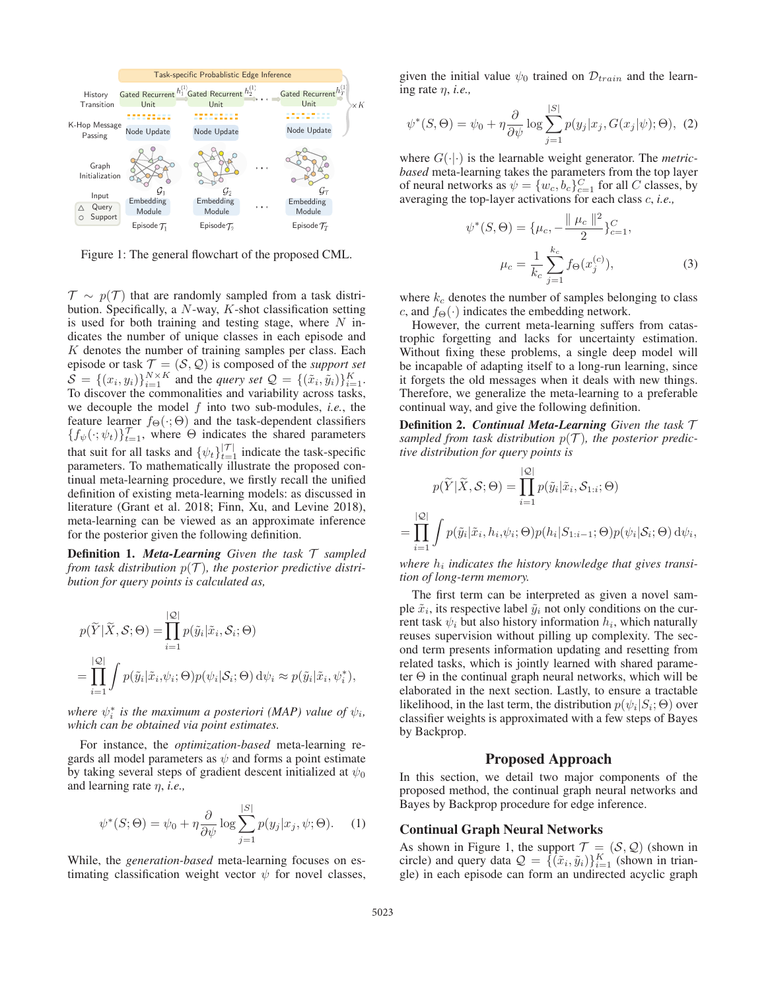

Figure 1: The general flowchart of the proposed CML.

 $\mathcal{T} \sim p(\mathcal{T})$  that are randomly sampled from a task distribution. Specifically, a  $N$ -way,  $K$ -shot classification setting is used for both training and testing stage, where  $N$  indicates the number of unique classes in each episode and  $K$  denotes the number of training samples per class. Each episode or task  $\mathcal{T} = (\mathcal{S}, \mathcal{Q})$  is composed of the *support set*  $S = \{(x_i, y_i)\}_{i=1}^{N \times K}$  and the *query set*  $\mathcal{Q} = \{(\tilde{x}_i, \tilde{y}_i)\}_{i=1}^{K}$ . To discover the commonalities and variability across tasks, we decouple the model f into two sub-modules, *i.e.*, the feature learner  $f_{\Theta}(\cdot; \Theta)$  and the task-dependent classifiers  ${f_{\psi}(\cdot;\psi_t)}_{t=1}^{\mathcal{T}}$ , where  $\Theta$  indicates the shared parameters that suit for all tasks and  $\{\psi_t\}_{t=1}^{|t|}$  indicate the task-specific parameters. To mathematically illustrate the proposed continual meta-learning procedure, we firstly recall the unified definition of existing meta-learning models: as discussed in literature (Grant et al. 2018; Finn, Xu, and Levine 2018), meta-learning can be viewed as an approximate inference for the posterior given the following definition.

Definition 1. *Meta-Learning Given the task* T *sampled from task distribution*  $p(\mathcal{T})$ *, the posterior predictive distribution for query points is calculated as,*

$$
p(\widetilde{Y}|\widetilde{X}, \mathcal{S}; \Theta) = \prod_{i=1}^{|\mathcal{Q}|} p(\widetilde{y}_i | \widetilde{x}_i, \mathcal{S}_i; \Theta)
$$
  
= 
$$
\prod_{i=1}^{|\mathcal{Q}|} \int p(\widetilde{y}_i | \widetilde{x}_i, \psi_i; \Theta) p(\psi_i | \mathcal{S}_i; \Theta) d\psi_i \approx p(\widetilde{y}_i | \widetilde{x}_i, \psi_i^*),
$$

where  $\psi_i^*$  is the maximum a posteriori (MAP) value of  $\psi_i$ , *which can be obtained via point estimates.*

For instance, the *optimization-based* meta-learning regards all model parameters as  $\psi$  and forms a point estimate by taking several steps of gradient descent initialized at  $\psi_0$ and learning rate η, *i.e.,*

$$
\psi^*(S; \Theta) = \psi_0 + \eta \frac{\partial}{\partial \psi} \log \sum_{j=1}^{|S|} p(y_j | x_j, \psi; \Theta). \tag{1}
$$

While, the *generation-based* meta-learning focuses on estimating classification weight vector  $\psi$  for novel classes,

given the initial value  $\psi_0$  trained on  $\mathcal{D}_{train}$  and the learning rate η, *i.e.,*

$$
\psi^*(S, \Theta) = \psi_0 + \eta \frac{\partial}{\partial \psi} \log \sum_{j=1}^{|S|} p(y_j | x_j, G(x_j | \psi); \Theta), \tag{2}
$$

where  $G(\cdot|\cdot)$  is the learnable weight generator. The *metricbased* meta-learning takes the parameters from the top layer of neural networks as  $\psi = \{w_c, b_c\}_{c=1}^C$  for all C classes, by averaging the top-layer activations for each class c, *i.e.,*

$$
\psi^*(S, \Theta) = \{\mu_c, -\frac{\|\mu_c\|^2}{2}\}_{c=1}^C,
$$

$$
\mu_c = \frac{1}{k_c} \sum_{j=1}^{k_c} f_{\Theta}(x_j^{(c)}),
$$
(3)

where  $k_c$  denotes the number of samples belonging to class c, and  $f_{\Theta}(\cdot)$  indicates the embedding network.

However, the current meta-learning suffers from catastrophic forgetting and lacks for uncertainty estimation. Without fixing these problems, a single deep model will be incapable of adapting itself to a long-run learning, since it forgets the old messages when it deals with new things. Therefore, we generalize the meta-learning to a preferable continual way, and give the following definition.

Definition 2. *Continual Meta-Learning Given the task* T sampled from task distribution  $p(\mathcal{T})$ , the posterior predic*tive distribution for query points is*

$$
p(\widetilde{Y}|\widetilde{X}, \mathcal{S}; \Theta) = \prod_{i=1}^{|\mathcal{Q}|} p(\widetilde{y}_i | \widetilde{x}_i, \mathcal{S}_{1:i}; \Theta)
$$

$$
= \prod_{i=1}^{|\mathcal{Q}|} \int p(\widetilde{y}_i | \widetilde{x}_i, h_i, \psi_i; \Theta) p(h_i | S_{1:i-1}; \Theta) p(\psi_i | \mathcal{S}_i; \Theta) d\psi_i,
$$

where  $h_i$  *indicates the history knowledge that gives transition of long-term memory.*

The first term can be interpreted as given a novel sample  $\tilde{x}_i$ , its respective label  $\tilde{y}_i$  not only conditions on the current task  $\psi_i$  but also history information  $h_i$ , which naturally reuses supervision without pilling up complexity. The second term presents information updating and resetting from related tasks, which is jointly learned with shared parameter  $\Theta$  in the continual graph neural networks, which will be elaborated in the next section. Lastly, to ensure a tractable likelihood, in the last term, the distribution  $p(\psi_i|S_i;\Theta)$  over classifier weights is approximated with a few steps of Bayes by Backprop.

## Proposed Approach

In this section, we detail two major components of the proposed method, the continual graph neural networks and Bayes by Backprop procedure for edge inference.

#### Continual Graph Neural Networks

As shown in Figure 1, the support  $\mathcal{T} = (\mathcal{S}, \mathcal{Q})$  (shown in circle) and query data  $\mathcal{Q} = \{(\tilde{x}_i, \tilde{y}_i)\}_{i=1}^K$  (shown in triangle) in each episode can form an undirected acyclic graph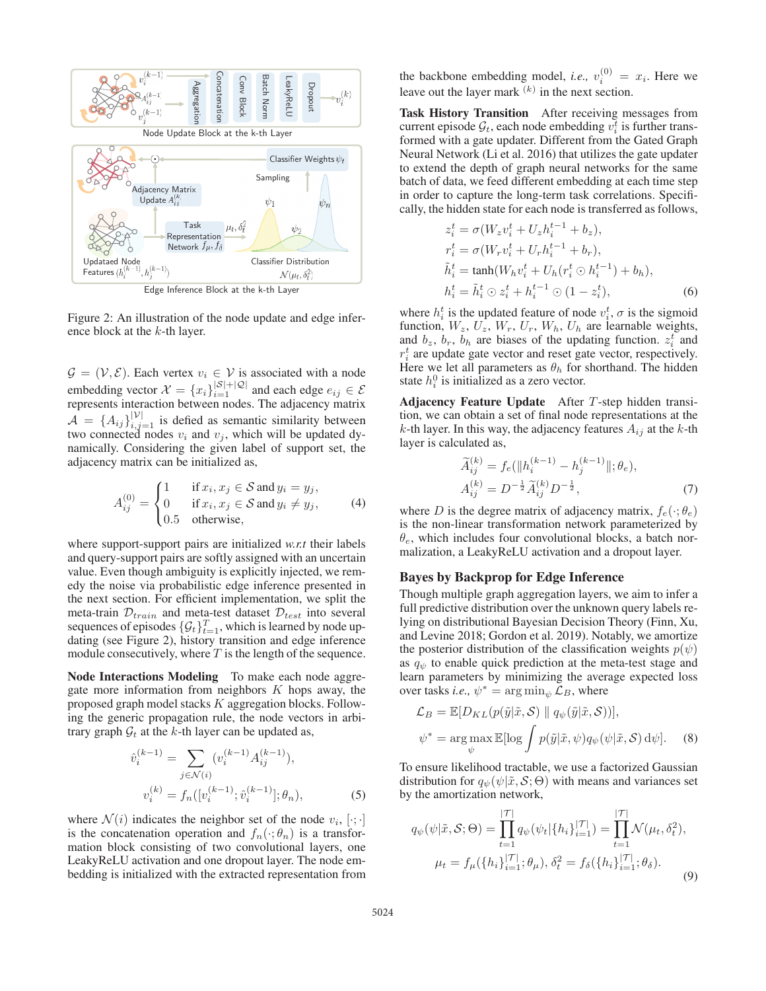

Edge Inference Block at the k-th Layer

Figure 2: An illustration of the node update and edge inference block at the  $k$ -th layer.

 $\mathcal{G} = (\mathcal{V}, \mathcal{E})$ . Each vertex  $v_i \in \mathcal{V}$  is associated with a node embedding vector  $\mathcal{X} = \{x_i\}_{i=1}^{|\mathcal{S}|+|\mathcal{Q}|}$  and each edge  $e_{ij} \in \mathcal{E}$ represents interaction between nodes. The adjacency matrix  $\mathcal{A} = \{A_{ij}\}_{i,j=1}^{|\mathcal{V}|}$  is defied as semantic similarity between two connected nodes  $v_i$  and  $v_j$ , which will be updated dynamically. Considering the given label of support set, the adjacency matrix can be initialized as,

$$
A_{ij}^{(0)} = \begin{cases} 1 & \text{if } x_i, x_j \in \mathcal{S} \text{ and } y_i = y_j, \\ 0 & \text{if } x_i, x_j \in \mathcal{S} \text{ and } y_i \neq y_j, \\ 0.5 & \text{otherwise,} \end{cases}
$$
 (4)

where support-support pairs are initialized *w.r.t* their labels and query-support pairs are softly assigned with an uncertain value. Even though ambiguity is explicitly injected, we remedy the noise via probabilistic edge inference presented in the next section. For efficient implementation, we split the meta-train  $\mathcal{D}_{train}$  and meta-test dataset  $\mathcal{D}_{test}$  into several sequences of episodes  $\{\mathcal{G}_t\}_{t=1}^T$ , which is learned by node updating (see Figure 2), history transition and edge inference module consecutively, where  $T$  is the length of the sequence.

Node Interactions Modeling To make each node aggregate more information from neighbors  $K$  hops away, the proposed graph model stacks K aggregation blocks. Following the generic propagation rule, the node vectors in arbitrary graph  $\mathcal{G}_t$  at the k-th layer can be updated as,

$$
\hat{v}_i^{(k-1)} = \sum_{j \in \mathcal{N}(i)} (v_i^{(k-1)} A_{ij}^{(k-1)}),
$$
  

$$
v_i^{(k)} = f_n([v_i^{(k-1)}; \hat{v}_i^{(k-1)}]; \theta_n),
$$
 (5)

where  $\mathcal{N}(i)$  indicates the neighbor set of the node  $v_i, [\cdot; \cdot]$ is the concatenation operation and  $f_n(\cdot; \theta_n)$  is a transformation block consisting of two convolutional layers, one LeakyReLU activation and one dropout layer. The node embedding is initialized with the extracted representation from

the backbone embedding model, *i.e.*,  $v_i^{(0)} = x_i$ . Here we leave out the layer mark  $(k)$  in the next section.

Task History Transition After receiving messages from current episode  $\mathcal{G}_t$ , each node embedding  $v_i^t$  is further transformed with a gate updater. Different from the Gated Graph Neural Network (Li et al. 2016) that utilizes the gate updater to extend the depth of graph neural networks for the same batch of data, we feed different embedding at each time step in order to capture the long-term task correlations. Specifically, the hidden state for each node is transferred as follows,

$$
z_i^t = \sigma(W_z v_i^t + U_z h_i^{t-1} + b_z),
$$
  
\n
$$
r_i^t = \sigma(W_r v_i^t + U_r h_i^{t-1} + b_r),
$$
  
\n
$$
\tilde{h}_i^t = \tanh(W_h v_i^t + U_h (r_i^t \odot h_i^{t-1}) + b_h),
$$
  
\n
$$
h_i^t = \tilde{h}_i^t \odot z_i^t + h_i^{t-1} \odot (1 - z_i^t),
$$
\n(6)

where  $h_i^t$  is the updated feature of node  $v_i^t$ ,  $\sigma$  is the sigmoid function,  $W_z$ ,  $U_z$ ,  $W_r$ ,  $U_r$ ,  $W_h$ ,  $U_h$  are learnable weights, and  $b_z$ ,  $b_r$ ,  $b_h$  are biases of the updating function.  $z_i^t$  and  $r_i^t$  are update gate vector and reset gate vector, respectively. Here we let all parameters as  $\theta_h$  for shorthand. The hidden state  $h_i^0$  is initialized as a zero vector.

Adjacency Feature Update After T-step hidden transition, we can obtain a set of final node representations at the k-th layer. In this way, the adjacency features  $A_{ij}$  at the k-th layer is calculated as,

$$
\widetilde{A}_{ij}^{(k)} = f_e(\|h_i^{(k-1)} - h_j^{(k-1)}\|; \theta_e),
$$
  
\n
$$
A_{ij}^{(k)} = D^{-\frac{1}{2}} \widetilde{A}_{ij}^{(k)} D^{-\frac{1}{2}},
$$
\n(7)

where D is the degree matrix of adjacency matrix,  $f_e(\cdot; \theta_e)$ is the non-linear transformation network parameterized by  $\theta_e$ , which includes four convolutional blocks, a batch normalization, a LeakyReLU activation and a dropout layer.

## Bayes by Backprop for Edge Inference

Though multiple graph aggregation layers, we aim to infer a full predictive distribution over the unknown query labels relying on distributional Bayesian Decision Theory (Finn, Xu, and Levine 2018; Gordon et al. 2019). Notably, we amortize the posterior distribution of the classification weights  $p(\psi)$ as  $q_{\psi}$  to enable quick prediction at the meta-test stage and learn parameters by minimizing the average expected loss over tasks *i.e.*,  $\psi^* = \arg \min_{\psi} \mathcal{L}_B$ , where

$$
\mathcal{L}_B = \mathbb{E}[D_{KL}(p(\tilde{y}|\tilde{x}, \mathcal{S}) \parallel q_{\psi}(\tilde{y}|\tilde{x}, \mathcal{S}))],
$$
  

$$
\psi^* = \arg \max_{\psi} \mathbb{E}[\log \int p(\tilde{y}|\tilde{x}, \psi) q_{\psi}(\psi|\tilde{x}, \mathcal{S}) d\psi].
$$
 (8)

To ensure likelihood tractable, we use a factorized Gaussian distribution for  $q_{\psi}(\psi|\tilde{x}, \mathcal{S}; \Theta)$  with means and variances set by the amortization network,

$$
q_{\psi}(\psi|\tilde{x}, \mathcal{S}; \Theta) = \prod_{t=1}^{|\mathcal{T}|} q_{\psi}(\psi_t | \{h_i\}_{i=1}^{|\mathcal{T}|}) = \prod_{t=1}^{|\mathcal{T}|} \mathcal{N}(\mu_t, \delta_t^2),
$$
  

$$
\mu_t = f_{\mu}(\{h_i\}_{i=1}^{|\mathcal{T}|}; \theta_{\mu}), \delta_t^2 = f_{\delta}(\{h_i\}_{i=1}^{|\mathcal{T}|}; \theta_{\delta}).
$$
\n(9)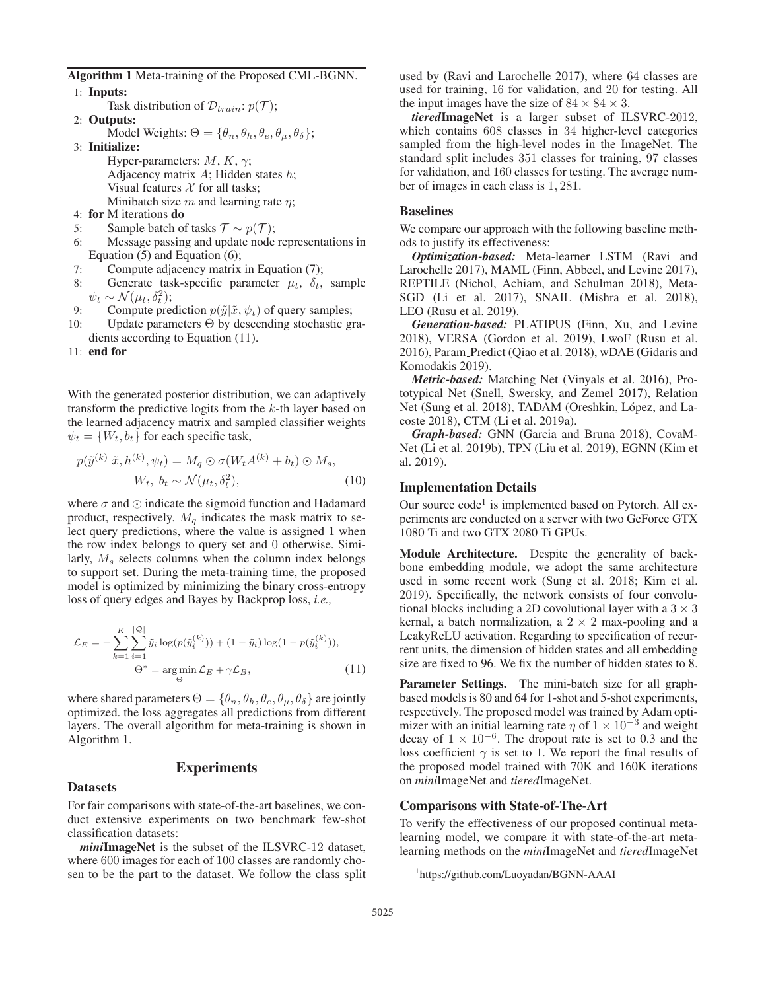Algorithm 1 Meta-training of the Proposed CML-BGNN.

1: Inputs: Task distribution of  $\mathcal{D}_{train}$ :  $p(\mathcal{T})$ ; 2: Outputs: Model Weights:  $\Theta = {\theta_n, \theta_h, \theta_e, \theta_u, \theta_\delta};$ 3: Initialize: Hyper-parameters:  $M, K, \gamma$ ; Adjacency matrix  $A$ ; Hidden states  $h$ ; Visual features  $X$  for all tasks: Minibatch size  $m$  and learning rate  $n$ ; 4: for M iterations do 5: Sample batch of tasks  $\mathcal{T} \sim p(\mathcal{T})$ ; 6: Message passing and update node representations in Equation (5) and Equation (6); 7: Compute adjacency matrix in Equation (7); 8: Generate task-specific parameter  $\mu_t$ ,  $\delta_t$ , sample  $\psi_t \sim \mathcal{N}(\mu_t, \delta_t^2);$ 9: Compute prediction  $p(\tilde{y}|\tilde{x}, \psi_t)$  of query samples; 10: Update parameters Θ by descending stochastic gradients according to Equation (11).

11: end for

With the generated posterior distribution, we can adaptively transform the predictive logits from the k-th layer based on the learned adjacency matrix and sampled classifier weights  $\psi_t = \{W_t, b_t\}$  for each specific task,

$$
p(\tilde{y}^{(k)}|\tilde{x}, h^{(k)}, \psi_t) = M_q \odot \sigma(W_t A^{(k)} + b_t) \odot M_s,
$$
  
\n
$$
W_t, b_t \sim \mathcal{N}(\mu_t, \delta_t^2),
$$
\n(10)

where  $\sigma$  and  $\odot$  indicate the sigmoid function and Hadamard product, respectively.  $M_q$  indicates the mask matrix to select query predictions, where the value is assigned 1 when the row index belongs to query set and 0 otherwise. Similarly,  $M_s$  selects columns when the column index belongs to support set. During the meta-training time, the proposed model is optimized by minimizing the binary cross-entropy loss of query edges and Bayes by Backprop loss, *i.e.,*

$$
\mathcal{L}_E = -\sum_{k=1}^K \sum_{i=1}^{|Q|} \tilde{y}_i \log(p(\tilde{y}_i^{(k)})) + (1 - \tilde{y}_i) \log(1 - p(\tilde{y}_i^{(k)})),
$$
  

$$
\Theta^* = \underset{\Theta}{\arg\min} \mathcal{L}_E + \gamma \mathcal{L}_B,
$$
 (11)

where shared parameters  $\Theta = {\theta_n, \theta_h, \theta_e, \theta_\mu, \theta_\delta}$  are jointly optimized. the loss aggregates all predictions from different layers. The overall algorithm for meta-training is shown in Algorithm 1.

#### Experiments

#### Datasets

For fair comparisons with state-of-the-art baselines, we conduct extensive experiments on two benchmark few-shot classification datasets:

*mini*ImageNet is the subset of the ILSVRC-12 dataset, where 600 images for each of 100 classes are randomly chosen to be the part to the dataset. We follow the class split

used by (Ravi and Larochelle 2017), where 64 classes are used for training, 16 for validation, and 20 for testing. All the input images have the size of  $84 \times 84 \times 3$ .

*tiered*ImageNet is a larger subset of ILSVRC-2012, which contains 608 classes in 34 higher-level categories sampled from the high-level nodes in the ImageNet. The standard split includes 351 classes for training, 97 classes for validation, and 160 classes for testing. The average number of images in each class is 1, 281.

#### Baselines

We compare our approach with the following baseline methods to justify its effectiveness:

*Optimization-based:* Meta-learner LSTM (Ravi and Larochelle 2017), MAML (Finn, Abbeel, and Levine 2017), REPTILE (Nichol, Achiam, and Schulman 2018), Meta-SGD (Li et al. 2017), SNAIL (Mishra et al. 2018), LEO (Rusu et al. 2019).

*Generation-based:* PLATIPUS (Finn, Xu, and Levine 2018), VERSA (Gordon et al. 2019), LwoF (Rusu et al. 2016), Param Predict (Qiao et al. 2018), wDAE (Gidaris and Komodakis 2019).

*Metric-based:* Matching Net (Vinyals et al. 2016), Prototypical Net (Snell, Swersky, and Zemel 2017), Relation Net (Sung et al. 2018), TADAM (Oreshkin, López, and Lacoste 2018), CTM (Li et al. 2019a).

*Graph-based:* GNN (Garcia and Bruna 2018), CovaM-Net (Li et al. 2019b), TPN (Liu et al. 2019), EGNN (Kim et al. 2019).

#### Implementation Details

Our source  $code<sup>1</sup>$  is implemented based on Pytorch. All experiments are conducted on a server with two GeForce GTX 1080 Ti and two GTX 2080 Ti GPUs.

Module Architecture. Despite the generality of backbone embedding module, we adopt the same architecture used in some recent work (Sung et al. 2018; Kim et al. 2019). Specifically, the network consists of four convolutional blocks including a 2D covolutional layer with a  $3 \times 3$ kernal, a batch normalization, a  $2 \times 2$  max-pooling and a LeakyReLU activation. Regarding to specification of recurrent units, the dimension of hidden states and all embedding size are fixed to 96. We fix the number of hidden states to 8.

Parameter Settings. The mini-batch size for all graphbased models is 80 and 64 for 1-shot and 5-shot experiments, respectively. The proposed model was trained by Adam optimizer with an initial learning rate  $\eta$  of  $1 \times 10^{-3}$  and weight decay of  $1 \times 10^{-6}$ . The dropout rate is set to 0.3 and the loss coefficient  $\gamma$  is set to 1. We report the final results of the proposed model trained with 70K and 160K iterations on *mini*ImageNet and *tiered*ImageNet.

#### Comparisons with State-of-The-Art

To verify the effectiveness of our proposed continual metalearning model, we compare it with state-of-the-art metalearning methods on the *mini*ImageNet and *tiered*ImageNet

<sup>1</sup> https://github.com/Luoyadan/BGNN-AAAI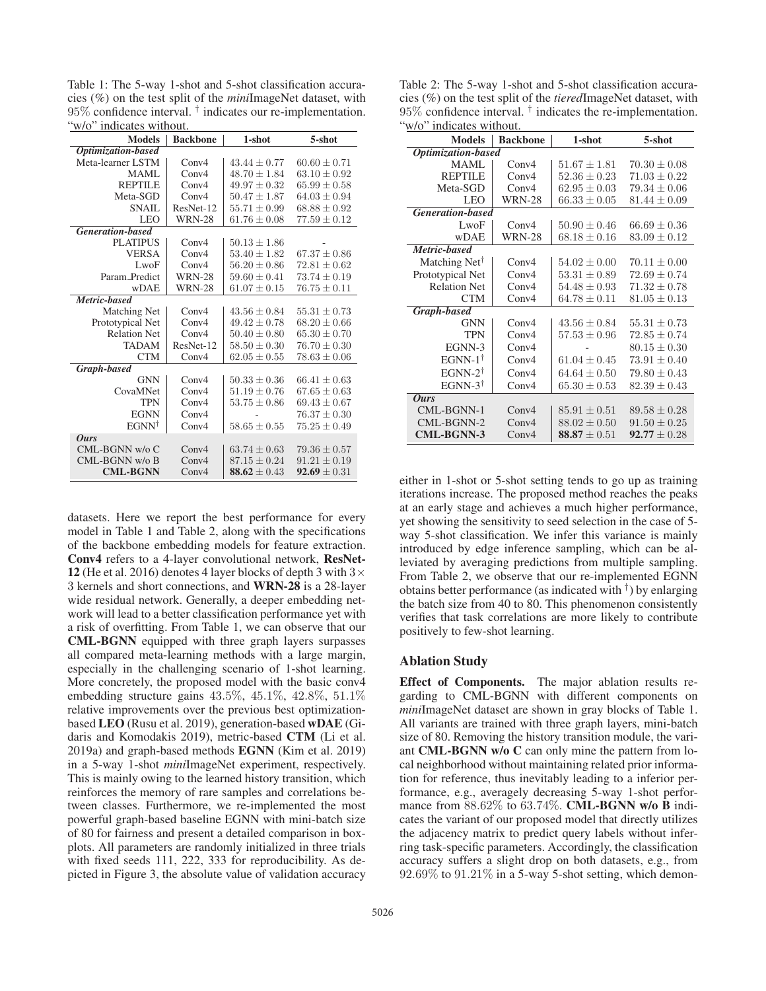Table 1: The 5-way 1-shot and 5-shot classification accuracies (%) on the test split of the *mini*ImageNet dataset, with  $95\%$  confidence interval.  $\dagger$  indicates our re-implementation. "w/o" indicates without.

| <b>Models</b>           | <b>Backbone</b> | 1-shot           | 5-shot           |
|-------------------------|-----------------|------------------|------------------|
| Optimization-based      |                 |                  |                  |
| Meta-learner LSTM       | Conv4           | $43.44 + 0.77$   | $60.60 + 0.71$   |
| MAMI.                   | Conv4           | $48.70 \pm 1.84$ | $63.10 \pm 0.92$ |
| <b>REPTILE</b>          | Conv4           | $49.97 + 0.32$   | $65.99 + 0.58$   |
| Meta-SGD                | Conv4           | $50.47 \pm 1.87$ | $64.03 \pm 0.94$ |
| SNAIL                   | ResNet-12       | $55.71 \pm 0.99$ | $68.88 \pm 0.92$ |
| <b>LEO</b>              | <b>WRN-28</b>   | $61.76 \pm 0.08$ | $77.59 \pm 0.12$ |
| <b>Generation-based</b> |                 |                  |                  |
| <b>PLATIPUS</b>         | Conv4           | $50.13 \pm 1.86$ |                  |
| <b>VERSA</b>            | Conv4           | $53.40 \pm 1.82$ | $67.37 \pm 0.86$ |
| LwoF                    | Conv4           | $56.20 \pm 0.86$ | $72.81 \pm 0.62$ |
| Param Predict           | <b>WRN-28</b>   | $59.60 \pm 0.41$ | $73.74 \pm 0.19$ |
| <b>wDAE</b>             | <b>WRN-28</b>   | $61.07 \pm 0.15$ | $76.75 \pm 0.11$ |
| Metric-based            |                 |                  |                  |
| Matching Net            | Conv4           | $43.56 \pm 0.84$ | $55.31 \pm 0.73$ |
| Prototypical Net        | Conv4           | $49.42 \pm 0.78$ | $68.20 \pm 0.66$ |
| <b>Relation Net</b>     | Conv4           | $50.40 \pm 0.80$ | $65.30 \pm 0.70$ |
| <b>TADAM</b>            | ResNet-12       | $58.50 \pm 0.30$ | $76.70 \pm 0.30$ |
| <b>CTM</b>              | Conv4           | $62.05 \pm 0.55$ | $78.63 \pm 0.06$ |
| Graph-based             |                 |                  |                  |
| <b>GNN</b>              | Conv4           | $50.33 \pm 0.36$ | $66.41 \pm 0.63$ |
| CovaMNet                | Conv4           | $51.19 \pm 0.76$ | $67.65 \pm 0.63$ |
| <b>TPN</b>              | Conv4           | $53.75 \pm 0.86$ | $69.43 \pm 0.67$ |
| <b>EGNN</b>             | Conv4           |                  | $76.37 \pm 0.30$ |
| $EGNN^{\dagger}$        | Conv4           | $58.65 \pm 0.55$ | $75.25 \pm 0.49$ |
| <b>Ours</b>             |                 |                  |                  |
| CML-BGNN w/o C          | Conv4           | $63.74 \pm 0.63$ | $79.36 \pm 0.57$ |
| CML-BGNN w/o B          | Conv4           | $87.15 \pm 0.24$ | $91.21 \pm 0.19$ |
| <b>CML-BGNN</b>         | Conv4           | 88.62 $\pm$ 0.43 | $92.69 \pm 0.31$ |

datasets. Here we report the best performance for every model in Table 1 and Table 2, along with the specifications of the backbone embedding models for feature extraction. Conv4 refers to a 4-layer convolutional network, ResNet-12 (He et al. 2016) denotes 4 layer blocks of depth 3 with  $3 \times$ 3 kernels and short connections, and WRN-28 is a 28-layer wide residual network. Generally, a deeper embedding network will lead to a better classification performance yet with a risk of overfitting. From Table 1, we can observe that our CML-BGNN equipped with three graph layers surpasses all compared meta-learning methods with a large margin, especially in the challenging scenario of 1-shot learning. More concretely, the proposed model with the basic conv4 embedding structure gains 43.5%, 45.1%, 42.8%, 51.1% relative improvements over the previous best optimizationbased LEO (Rusu et al. 2019), generation-based wDAE (Gidaris and Komodakis 2019), metric-based CTM (Li et al. 2019a) and graph-based methods EGNN (Kim et al. 2019) in a 5-way 1-shot *mini*ImageNet experiment, respectively. This is mainly owing to the learned history transition, which reinforces the memory of rare samples and correlations between classes. Furthermore, we re-implemented the most powerful graph-based baseline EGNN with mini-batch size of 80 for fairness and present a detailed comparison in boxplots. All parameters are randomly initialized in three trials with fixed seeds 111, 222, 333 for reproducibility. As depicted in Figure 3, the absolute value of validation accuracy

Table 2: The 5-way 1-shot and 5-shot classification accuracies (%) on the test split of the *tiered*ImageNet dataset, with  $95\%$  confidence interval.  $\dagger$  indicates the re-implementation. "w/o" indicates without.

| <b>Models</b>             | <b>Backbone</b>         | 1-shot           | 5-shot           |  |  |
|---------------------------|-------------------------|------------------|------------------|--|--|
| <b>Optimization-based</b> |                         |                  |                  |  |  |
| MAML.                     | Conv4                   | $51.67 \pm 1.81$ | $70.30 \pm 0.08$ |  |  |
| <b>REPTILE</b>            | Conv <sub>4</sub>       | $52.36 \pm 0.23$ | $71.03 \pm 0.22$ |  |  |
| Meta-SGD                  | Conv <sub>4</sub>       | $62.95 \pm 0.03$ | $79.34 \pm 0.06$ |  |  |
| <b>LEO</b>                | <b>WRN-28</b>           | $66.33 \pm 0.05$ | $81.44 \pm 0.09$ |  |  |
|                           | <b>Generation-based</b> |                  |                  |  |  |
| LwoF                      | Conv4                   | $50.90 \pm 0.46$ | $66.69 \pm 0.36$ |  |  |
| <b>wDAE</b>               | <b>WRN-28</b>           | $68.18 \pm 0.16$ | $83.09 \pm 0.12$ |  |  |
| Metric-based              |                         |                  |                  |  |  |
| Matching Net <sup>†</sup> | Conv4                   | $54.02 + 0.00$   | $70.11 + 0.00$   |  |  |
| Prototypical Net          | Conv4                   | $53.31 \pm 0.89$ | $72.69 \pm 0.74$ |  |  |
| <b>Relation Net</b>       | Conv <sub>4</sub>       | $54.48 \pm 0.93$ | $71.32 \pm 0.78$ |  |  |
| <b>CTM</b>                | Conv4                   | $64.78 \pm 0.11$ | $81.05 \pm 0.13$ |  |  |
| Graph-based               |                         |                  |                  |  |  |
| <b>GNN</b>                | Conv4                   | $43.56 \pm 0.84$ | $55.31 \pm 0.73$ |  |  |
| <b>TPN</b>                | Conv4                   | $57.53 \pm 0.96$ | $72.85 \pm 0.74$ |  |  |
| EGNN-3                    | Conv4                   |                  | $80.15 + 0.30$   |  |  |
| EGNN-1 $^{\dagger}$       | Conv4                   | $61.04 \pm 0.45$ | $73.91 \pm 0.40$ |  |  |
| $EGNN-2^{\dagger}$        | Conv4                   | $64.64 \pm 0.50$ | $79.80 \pm 0.43$ |  |  |
| EGNN-3 $\dagger$          | Conv4                   | $65.30 \pm 0.53$ | $82.39 \pm 0.43$ |  |  |
| <b>Ours</b>               |                         |                  |                  |  |  |
| CML-BGNN-1                | Conv4                   | $85.91 \pm 0.51$ | $89.58 \pm 0.28$ |  |  |
| CML-BGNN-2                | Conv4                   | $88.02 \pm 0.50$ | $91.50 \pm 0.25$ |  |  |
| <b>CML-BGNN-3</b>         | Conv4                   | 88.87 $\pm 0.51$ | $92.77 \pm 0.28$ |  |  |

either in 1-shot or 5-shot setting tends to go up as training iterations increase. The proposed method reaches the peaks at an early stage and achieves a much higher performance, yet showing the sensitivity to seed selection in the case of 5 way 5-shot classification. We infer this variance is mainly introduced by edge inference sampling, which can be alleviated by averaging predictions from multiple sampling. From Table 2, we observe that our re-implemented EGNN obtains better performance (as indicated with  $\dagger$ ) by enlarging the batch size from 40 to 80. This phenomenon consistently verifies that task correlations are more likely to contribute positively to few-shot learning.

#### Ablation Study

Effect of Components. The major ablation results regarding to CML-BGNN with different components on *mini*ImageNet dataset are shown in gray blocks of Table 1. All variants are trained with three graph layers, mini-batch size of 80. Removing the history transition module, the variant CML-BGNN w/o C can only mine the pattern from local neighborhood without maintaining related prior information for reference, thus inevitably leading to a inferior performance, e.g., averagely decreasing 5-way 1-shot performance from  $88.62\%$  to  $63.74\%$ . **CML-BGNN w/o B** indicates the variant of our proposed model that directly utilizes the adjacency matrix to predict query labels without inferring task-specific parameters. Accordingly, the classification accuracy suffers a slight drop on both datasets, e.g., from 92.69% to 91.21% in a 5-way 5-shot setting, which demon-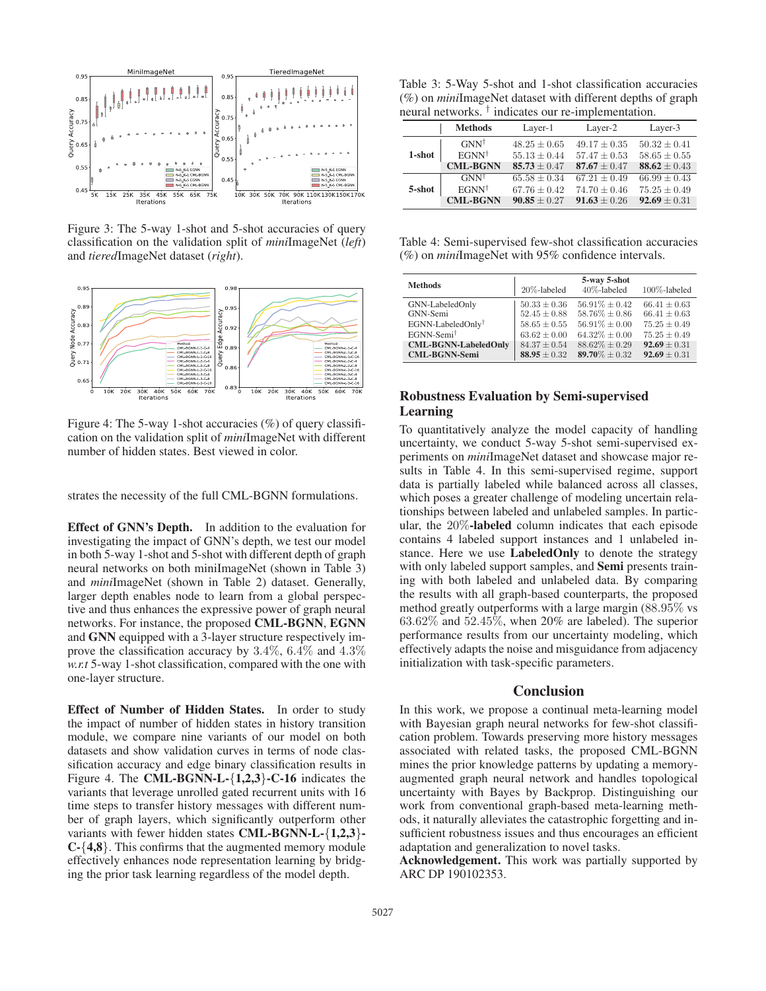

Figure 3: The 5-way 1-shot and 5-shot accuracies of query classification on the validation split of *mini*ImageNet (*left*) and *tiered*ImageNet dataset (*right*).



Figure 4: The 5-way 1-shot accuracies  $(\%)$  of query classification on the validation split of *mini*ImageNet with different number of hidden states. Best viewed in color.

strates the necessity of the full CML-BGNN formulations.

Effect of GNN's Depth. In addition to the evaluation for investigating the impact of GNN's depth, we test our model in both 5-way 1-shot and 5-shot with different depth of graph neural networks on both miniImageNet (shown in Table 3) and *mini*ImageNet (shown in Table 2) dataset. Generally, larger depth enables node to learn from a global perspective and thus enhances the expressive power of graph neural networks. For instance, the proposed CML-BGNN, EGNN and GNN equipped with a 3-layer structure respectively improve the classification accuracy by 3.4%, 6.4% and 4.3% *w.r.t* 5-way 1-shot classification, compared with the one with one-layer structure.

Effect of Number of Hidden States. In order to study the impact of number of hidden states in history transition module, we compare nine variants of our model on both datasets and show validation curves in terms of node classification accuracy and edge binary classification results in Figure 4. The CML-BGNN-L- $\{1,2,3\}$ -C-16 indicates the variants that leverage unrolled gated recurrent units with 16 time steps to transfer history messages with different number of graph layers, which significantly outperform other variants with fewer hidden states CML-BGNN-L-{1,2,3}- C-{4,8}. This confirms that the augmented memory module effectively enhances node representation learning by bridging the prior task learning regardless of the model depth.

Table 3: 5-Way 5-shot and 1-shot classification accuracies (%) on *mini*ImageNet dataset with different depths of graph neural networks. † indicates our re-implementation.

|        | <b>Methods</b>   | Layer-1          | Layer-2          | Layer-3          |
|--------|------------------|------------------|------------------|------------------|
|        | $GNN^{\dagger}$  | $48.25 + 0.65$   | $49.17 + 0.35$   | $50.32 \pm 0.41$ |
| 1-shot | $EGNN^{\dagger}$ | $55.13 \pm 0.44$ | $57.47 + 0.53$   | $58.65 \pm 0.55$ |
|        | <b>CML-BGNN</b>  | $85.73 \pm 0.47$ | $87.67 + 0.47$   | $88.62 \pm 0.43$ |
|        | $GNN^{\dagger}$  | $65.58 + 0.34$   | $67.21 + 0.49$   | $66.99 \pm 0.43$ |
| 5-shot | $EGNN^{\dagger}$ | $67.76 + 0.42$   | $74.70 \pm 0.46$ | $75.25 \pm 0.49$ |
|        | <b>CML-BGNN</b>  | $90.85 \pm 0.27$ | $91.63 \pm 0.26$ | $92.69 \pm 0.31$ |

Table 4: Semi-supervised few-shot classification accuracies (%) on *mini*ImageNet with 95% confidence intervals.

| <b>Methods</b>                | 20%-labeled      | 5-way 5-shot<br>40%-labeled | 100%-labeled     |
|-------------------------------|------------------|-----------------------------|------------------|
| GNN-LabeledOnly               | $50.33 \pm 0.36$ | $56.91\% + 0.42$            | $66.41 \pm 0.63$ |
| GNN-Semi                      | $52.45 \pm 0.88$ | $58.76\% \pm 0.86$          | $66.41 \pm 0.63$ |
| EGNN-LabeledOnly <sup>†</sup> | $58.65 \pm 0.55$ | $56.91\% \pm 0.00$          | $75.25 + 0.49$   |
| EGNN-Semi <sup>†</sup>        | $63.62 \pm 0.00$ | $64.32\% \pm 0.00$          | $75.25 \pm 0.49$ |
| <b>CML-BGNN-LabeledOnly</b>   | $84.37 \pm 0.54$ | $88.62\% \pm 0.29$          | $92.69 \pm 0.31$ |
| <b>CML-BGNN-Semi</b>          | $88.95 \pm 0.32$ | 89.70\% $\pm$ 0.32          | $92.69 \pm 0.31$ |

## Robustness Evaluation by Semi-supervised Learning

To quantitatively analyze the model capacity of handling uncertainty, we conduct 5-way 5-shot semi-supervised experiments on *mini*ImageNet dataset and showcase major results in Table 4. In this semi-supervised regime, support data is partially labeled while balanced across all classes, which poses a greater challenge of modeling uncertain relationships between labeled and unlabeled samples. In particular, the 20%-labeled column indicates that each episode contains 4 labeled support instances and 1 unlabeled instance. Here we use LabeledOnly to denote the strategy with only labeled support samples, and **Semi** presents training with both labeled and unlabeled data. By comparing the results with all graph-based counterparts, the proposed method greatly outperforms with a large margin (88.95% vs  $63.62\%$  and  $52.45\%$ , when  $20\%$  are labeled). The superior performance results from our uncertainty modeling, which effectively adapts the noise and misguidance from adjacency initialization with task-specific parameters.

## **Conclusion**

In this work, we propose a continual meta-learning model with Bayesian graph neural networks for few-shot classification problem. Towards preserving more history messages associated with related tasks, the proposed CML-BGNN mines the prior knowledge patterns by updating a memoryaugmented graph neural network and handles topological uncertainty with Bayes by Backprop. Distinguishing our work from conventional graph-based meta-learning methods, it naturally alleviates the catastrophic forgetting and insufficient robustness issues and thus encourages an efficient adaptation and generalization to novel tasks.

Acknowledgement. This work was partially supported by ARC DP 190102353.